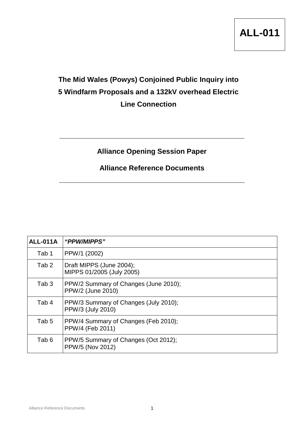

## **The Mid Wales (Powys) Conjoined Public Inquiry into 5 Windfarm Proposals and a 132kV overhead Electric Line Connection**

## **Alliance Opening Session Paper**

## **Alliance Reference Documents**

| <b>ALL-011A</b>  | "PPW/MIPPS"                                                |
|------------------|------------------------------------------------------------|
| Tab 1            | PPW/1 (2002)                                               |
| Tab <sub>2</sub> | Draft MIPPS (June 2004);<br>MIPPS 01/2005 (July 2005)      |
| Tab <sub>3</sub> | PPW/2 Summary of Changes (June 2010);<br>PPW/2 (June 2010) |
| Tab 4            | PPW/3 Summary of Changes (July 2010);<br>PPW/3 (July 2010) |
| Tab <sub>5</sub> | PPW/4 Summary of Changes (Feb 2010);<br>PPW/4 (Feb 2011)   |
| Tab 6            | PPW/5 Summary of Changes (Oct 2012);<br>PPW/5 (Nov 2012)   |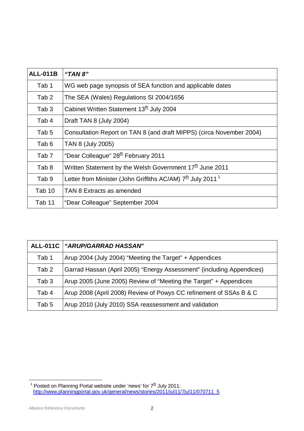| <b>ALL-011B</b>  | "TAN $8"$                                                                          |
|------------------|------------------------------------------------------------------------------------|
| Tab 1            | WG web page synopsis of SEA function and applicable dates                          |
| Tab 2            | The SEA (Wales) Regulations SI 2004/1656                                           |
| Tab 3            | Cabinet Written Statement 13 <sup>th</sup> July 2004                               |
| Tab 4            | Draft TAN 8 (July 2004)                                                            |
| Tab 5            | Consultation Report on TAN 8 (and draft MIPPS) (circa November 2004)               |
| Tab <sub>6</sub> | TAN 8 (July 2005)                                                                  |
| Tab 7            | "Dear Colleague" 28 <sup>th</sup> February 2011                                    |
| Tab 8            | Written Statement by the Welsh Government 17 <sup>th</sup> June 2011               |
| Tab 9            | Letter from Minister (John Griffiths AC/AM) 7 <sup>th</sup> July 2011 <sup>1</sup> |
| Tab 10           | TAN 8 Extracts as amended                                                          |
| Tab 11           | "Dear Colleague" September 2004                                                    |

| <b>ALL-011C</b>  | "ARUP/GARRAD HASSAN"                                                  |
|------------------|-----------------------------------------------------------------------|
| Tab 1            | Arup 2004 (July 2004) "Meeting the Target" + Appendices               |
| Tab <sub>2</sub> | Garrad Hassan (April 2005) "Energy Assessment" (including Appendices) |
| Tab <sub>3</sub> | Arup 2005 (June 2005) Review of "Meeting the Target" + Appendices     |
| Tab 4            | Arup 2008 (April 2008) Review of Powys CC refinement of SSAs B & C    |
| Tab 5            | Arup 2010 (July 2010) SSA reassessment and validation                 |

<sup>1&</sup>lt;br><sup>1</sup> Posted on Planning Portal website under 'news' for 7<sup>th</sup> July 2011: [http://www.planningportal.gov.uk/general/news/stories/2011/jul11/7jul11/070711\\_5](http://www.planningportal.gov.uk/general/news/stories/2011/jul11/7jul11/070711_5)